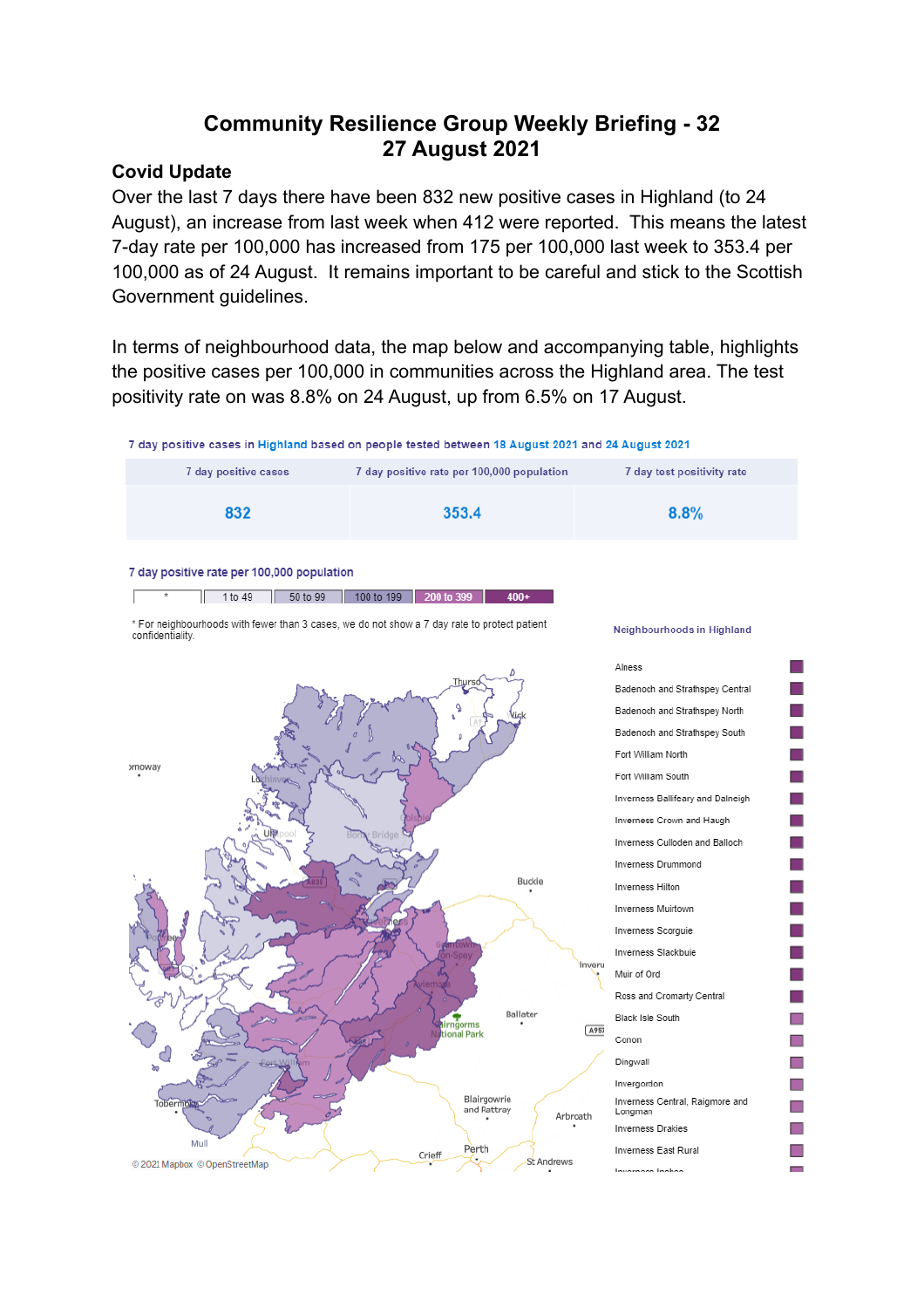# **Community Resilience Group Weekly Briefing - 32 27 August 2021**

## **Covid Update**

Over the last 7 days there have been 832 new positive cases in Highland (to 24 August), an increase from last week when 412 were reported. This means the latest 7-day rate per 100,000 has increased from 175 per 100,000 last week to 353.4 per 100,000 as of 24 August. It remains important to be careful and stick to the Scottish Government guidelines.

In terms of neighbourhood data, the map below and accompanying table, highlights the positive cases per 100,000 in communities across the Highland area. The test positivity rate on was 8.8% on 24 August, up from 6.5% on 17 August.



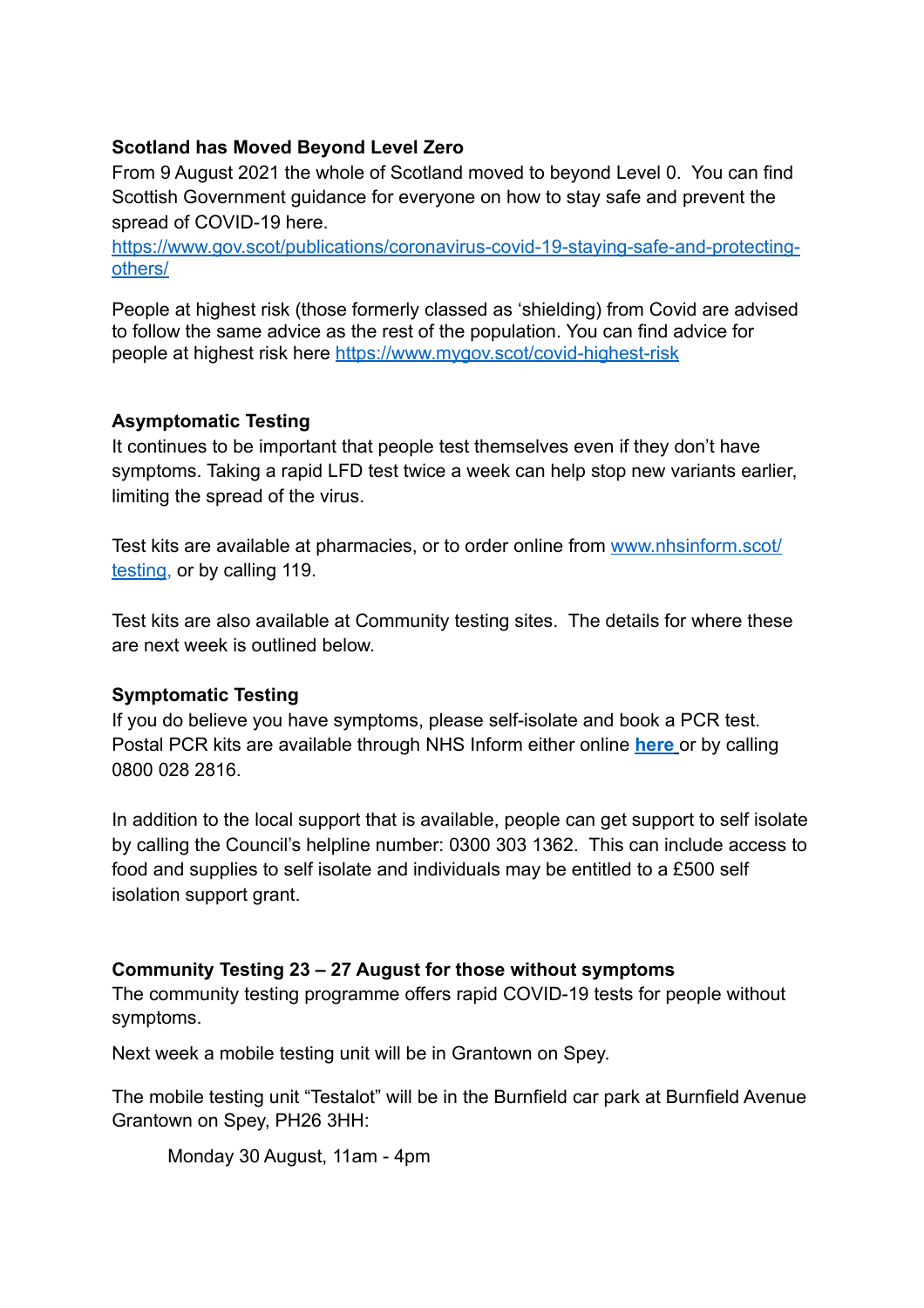## **Scotland has Moved Beyond Level Zero**

From 9 August 2021 the whole of Scotland moved to beyond Level 0. You can find Scottish Government guidance for everyone on how to stay safe and prevent the spread of COVID-19 here.

[https://www.gov.scot/publications/coronavirus-covid-19-staying-safe-and-protecting](https://www.gov.scot/publications/coronavirus-covid-19-staying-safe-and-protecting-others/)[others/](https://www.gov.scot/publications/coronavirus-covid-19-staying-safe-and-protecting-others/)

People at highest risk (those formerly classed as 'shielding) from Covid are advised to follow the same advice as the rest of the population. You can find advice for people at highest risk here<https://www.mygov.scot/covid-highest-risk>

# **Asymptomatic Testing**

It continues to be important that people test themselves even if they don't have symptoms. Taking a rapid LFD test twice a week can help stop new variants earlier, limiting the spread of the virus.

Test kits are available at pharmacies, or to order online from [www.nhsinform.scot/](http://www.nhsinform.scot/testing) [testing](http://www.nhsinform.scot/testing), or by calling 119.

Test kits are also available at Community testing sites. The details for where these are next week is outlined below.

# **Symptomatic Testing**

If you do believe you have symptoms, please self-isolate and book a PCR test. Postal PCR kits are available through NHS Inform either online **[here](https://eur02.safelinks.protection.outlook.com/?url=https://www.nhsinform.scot/illnesses-and-conditions/infections-and-poisoning/coronavirus-covid-19/test-and-protect/coronavirus-covid-19-how-to-do-a-pcr-test-at-home&data=04%257C01%257C%257C782f2f7756ee483e42e308d94dec951d%257C89f0b56e6d164fe89dba176fa940f7c9%257C0%257C0%257C637626500816082039%257CUnknown%257CTWFpbGZsb3d8eyJWIjoiMC4wLjAwMDAiLCJQIjoiV2luMzIiLCJBTiI6Ik1haWwiLCJXVCI6Mn0=%257C1000&sdata=Y+avkxLVdZX7n9HajM7JAMRH0o5v7yj1NIhNsrPP9Tg=&reserved=0)** or by calling 0800 028 2816.

In addition to the local support that is available, people can get support to self isolate by calling the Council's helpline number: 0300 303 1362. This can include access to food and supplies to self isolate and individuals may be entitled to a £500 self isolation support grant.

# **Community Testing 23 – 27 August for those without symptoms**

The community testing programme offers rapid COVID-19 tests for people without symptoms.

Next week a mobile testing unit will be in Grantown on Spey.

The mobile testing unit "Testalot" will be in the Burnfield car park at Burnfield Avenue Grantown on Spey, PH26 3HH:

Monday 30 August, 11am - 4pm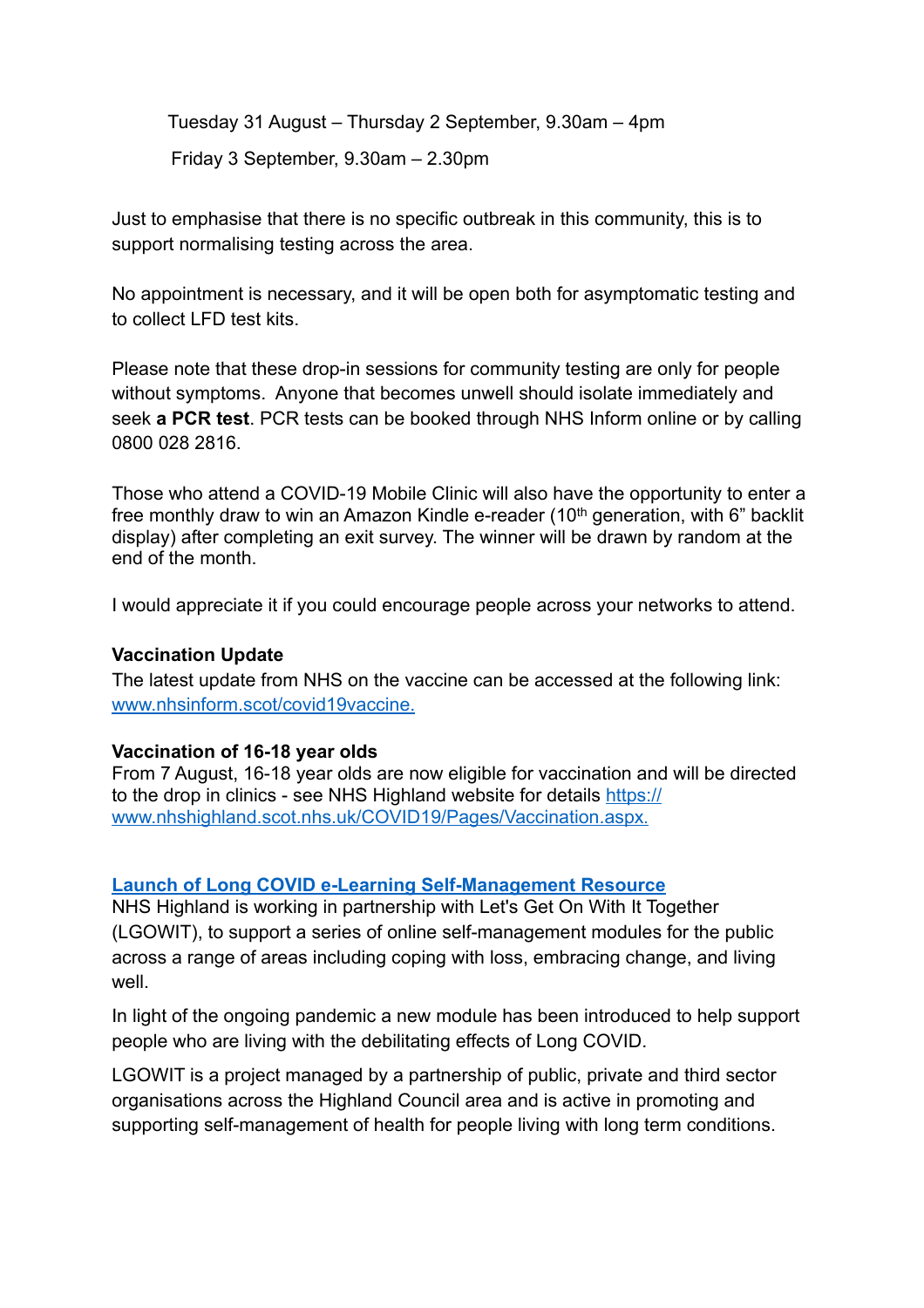Tuesday 31 August – Thursday 2 September, 9.30am – 4pm Friday 3 September, 9.30am – 2.30pm

Just to emphasise that there is no specific outbreak in this community, this is to support normalising testing across the area.

No appointment is necessary, and it will be open both for asymptomatic testing and to collect LFD test kits.

Please note that these drop-in sessions for community testing are only for people without symptoms. Anyone that becomes unwell should isolate immediately and seek **a PCR test**. PCR tests can be booked through NHS Inform online or by calling 0800 028 2816.

Those who attend a COVID-19 Mobile Clinic will also have the opportunity to enter a free monthly draw to win an Amazon Kindle e-reader (10th generation, with 6" backlit display) after completing an exit survey. The winner will be drawn by random at the end of the month.

I would appreciate it if you could encourage people across your networks to attend.

#### **Vaccination Update**

The latest update from NHS on the vaccine can be accessed at the following link: [www.nhsinform.scot/covid19vaccine](http://www.nhsinform.scot/covid19vaccine).

#### **Vaccination of 16-18 year olds**

From 7 August, 16-18 year olds are now eligible for vaccination and will be directed [to the drop in clinics - see NHS Highland website for details https://](https://www.nhshighland.scot.nhs.uk/COVID19/Pages/Vaccination.aspx) [www.nhshighland.scot.nhs.uk/COVID19/Pages/Vaccination.aspx](https://www.nhshighland.scot.nhs.uk/COVID19/Pages/Vaccination.aspx).

#### **[Launch of Long COVID e-Learning Self-Management Resource](https://www.nhshighland.scot.nhs.uk/News/Pages/LaunchofLongCOVIDeLearningSelfManagementResource.aspx)**

NHS Highland is working in partnership with Let's Get On With It Together (LGOWIT), to support a series of online self-management modules for the public across a range of areas including coping with loss, embracing change, and living well.

In light of the ongoing pandemic a new module has been introduced to help support people who are living with the debilitating effects of Long COVID.

LGOWIT is a project managed by a partnership of public, private and third sector organisations across the Highland Council area and is active in promoting and supporting self-management of health for people living with long term conditions.